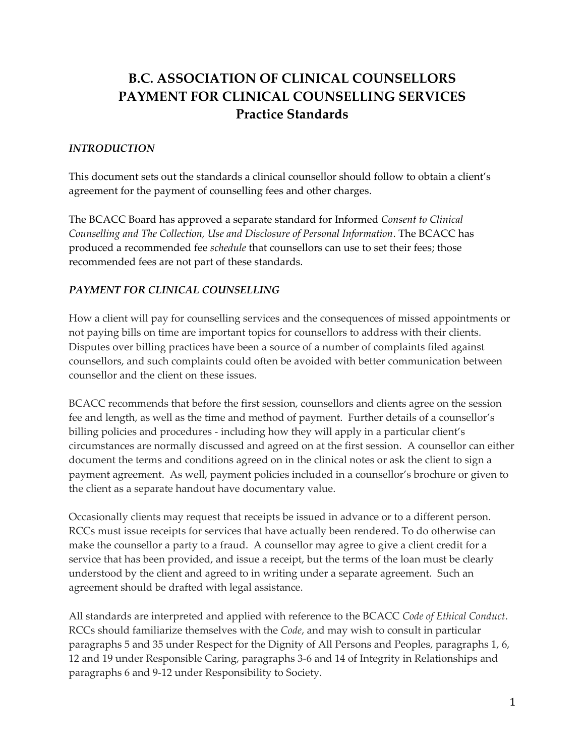## **B.C. ASSOCIATION OF CLINICAL COUNSELLORS PAYMENT FOR CLINICAL COUNSELLING SERVICES Practice Standards**

## *INTRODUCTION*

This document sets out the standards a clinical counsellor should follow to obtain a client's agreement for the payment of counselling fees and other charges.

The BCACC Board has approved a separate standard for Informed *Consent to Clinical Counselling and The Collection, Use and Disclosure of Personal Information*. The BCACC has produced a recommended fee *schedule* that counsellors can use to set their fees; those recommended fees are not part of these standards.

## *PAYMENT FOR CLINICAL COUNSELLING*

How a client will pay for counselling services and the consequences of missed appointments or not paying bills on time are important topics for counsellors to address with their clients. Disputes over billing practices have been a source of a number of complaints filed against counsellors, and such complaints could often be avoided with better communication between counsellor and the client on these issues.

BCACC recommends that before the first session, counsellors and clients agree on the session fee and length, as well as the time and method of payment. Further details of a counsellor's billing policies and procedures - including how they will apply in a particular client's circumstances are normally discussed and agreed on at the first session. A counsellor can either document the terms and conditions agreed on in the clinical notes or ask the client to sign a payment agreement. As well, payment policies included in a counsellor's brochure or given to the client as a separate handout have documentary value.

Occasionally clients may request that receipts be issued in advance or to a different person. RCCs must issue receipts for services that have actually been rendered. To do otherwise can make the counsellor a party to a fraud. A counsellor may agree to give a client credit for a service that has been provided, and issue a receipt, but the terms of the loan must be clearly understood by the client and agreed to in writing under a separate agreement. Such an agreement should be drafted with legal assistance.

All standards are interpreted and applied with reference to the BCACC *Code of Ethical Conduct*. RCCs should familiarize themselves with the *Code*, and may wish to consult in particular paragraphs 5 and 35 under Respect for the Dignity of All Persons and Peoples, paragraphs 1, 6, 12 and 19 under Responsible Caring, paragraphs 3-6 and 14 of Integrity in Relationships and paragraphs 6 and 9-12 under Responsibility to Society.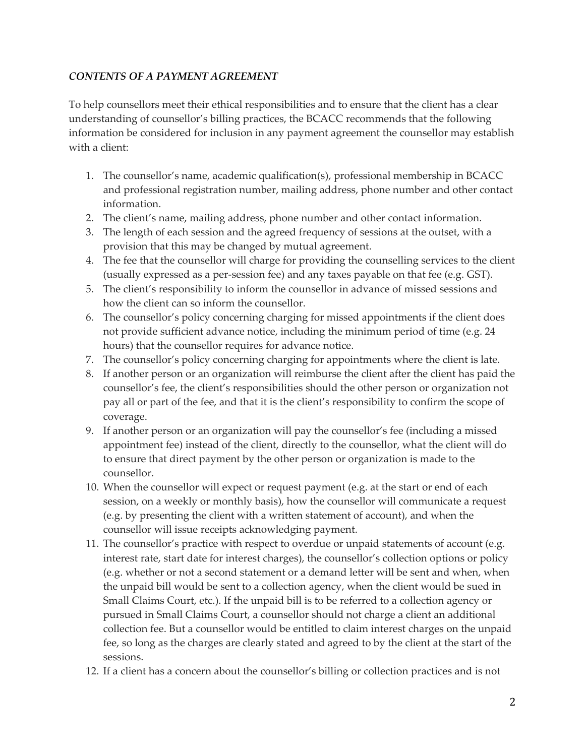## *CONTENTS OF A PAYMENT AGREEMENT*

To help counsellors meet their ethical responsibilities and to ensure that the client has a clear understanding of counsellor's billing practices, the BCACC recommends that the following information be considered for inclusion in any payment agreement the counsellor may establish with a client:

- 1. The counsellor's name, academic qualification(s), professional membership in BCACC and professional registration number, mailing address, phone number and other contact information.
- 2. The client's name, mailing address, phone number and other contact information.
- 3. The length of each session and the agreed frequency of sessions at the outset, with a provision that this may be changed by mutual agreement.
- 4. The fee that the counsellor will charge for providing the counselling services to the client (usually expressed as a per-session fee) and any taxes payable on that fee (e.g. GST).
- 5. The client's responsibility to inform the counsellor in advance of missed sessions and how the client can so inform the counsellor.
- 6. The counsellor's policy concerning charging for missed appointments if the client does not provide sufficient advance notice, including the minimum period of time (e.g. 24 hours) that the counsellor requires for advance notice.
- 7. The counsellor's policy concerning charging for appointments where the client is late.
- 8. If another person or an organization will reimburse the client after the client has paid the counsellor's fee, the client's responsibilities should the other person or organization not pay all or part of the fee, and that it is the client's responsibility to confirm the scope of coverage.
- 9. If another person or an organization will pay the counsellor's fee (including a missed appointment fee) instead of the client, directly to the counsellor, what the client will do to ensure that direct payment by the other person or organization is made to the counsellor.
- 10. When the counsellor will expect or request payment (e.g. at the start or end of each session, on a weekly or monthly basis), how the counsellor will communicate a request (e.g. by presenting the client with a written statement of account), and when the counsellor will issue receipts acknowledging payment.
- 11. The counsellor's practice with respect to overdue or unpaid statements of account (e.g. interest rate, start date for interest charges), the counsellor's collection options or policy (e.g. whether or not a second statement or a demand letter will be sent and when, when the unpaid bill would be sent to a collection agency, when the client would be sued in Small Claims Court, etc.). If the unpaid bill is to be referred to a collection agency or pursued in Small Claims Court, a counsellor should not charge a client an additional collection fee. But a counsellor would be entitled to claim interest charges on the unpaid fee, so long as the charges are clearly stated and agreed to by the client at the start of the sessions.
- 12. If a client has a concern about the counsellor's billing or collection practices and is not